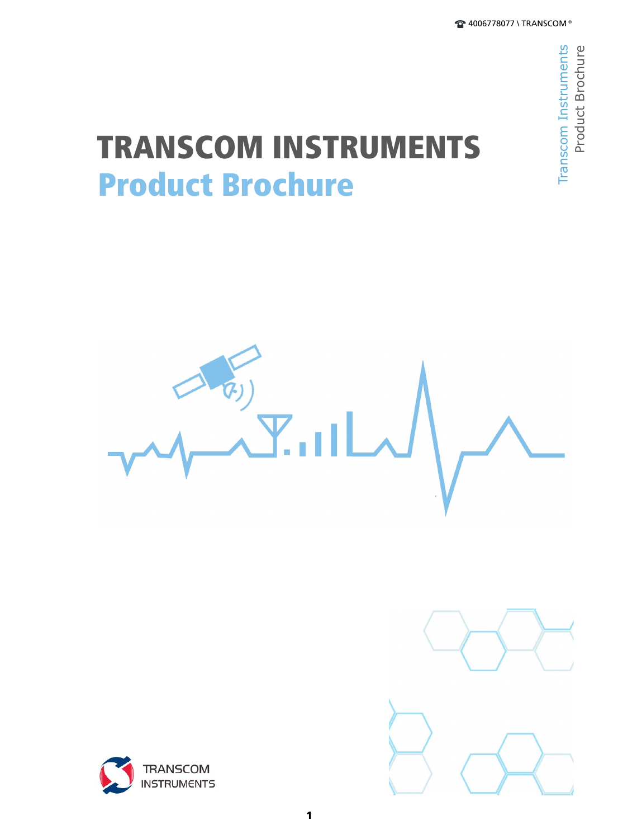# Product Brochure TRANSCOM INSTRUMENTS







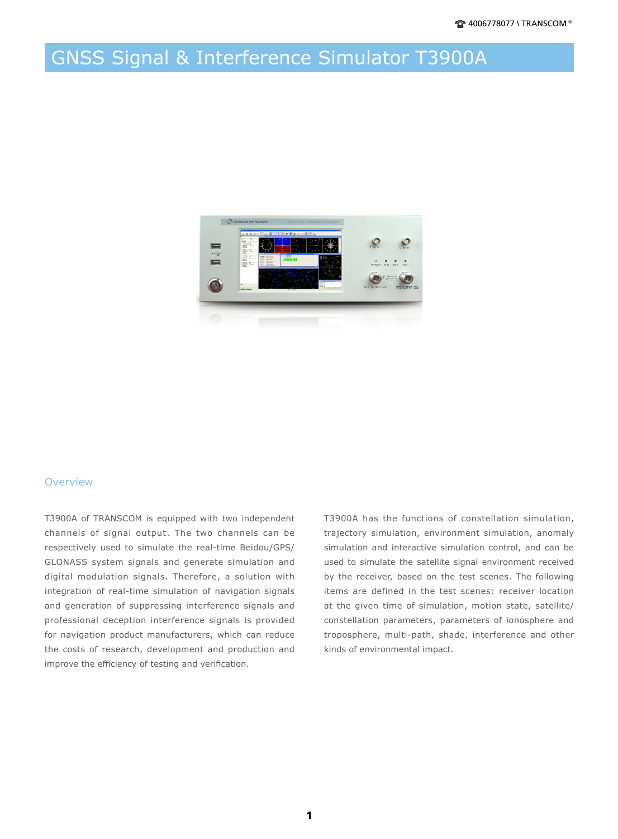### GNSS Signal & Interference Simulator T3900A



#### **Overview**

T3900A of TRANSCOM is equipped with two independent channels of signal output. The two channels can be respectively used to simulate the real-time Beidou/GPS/ GLONASS system signals and generate simulation and digital modulation signals. Therefore, a solution with integration of real-time simulation of navigation signals and generation of suppressing interference signals and professional deception interference signals is provided for navigation product manufacturers, which can reduce the costs of research, development and production and improve the efficiency of testing and verification.

T3900A has the functions of constellation simulation, trajectory simulation, environment simulation, anomaly simulation and interactive simulation control, and can be used to simulate the satellite signal environment received by the receiver, based on the test scenes. The following items are defined in the test scenes: receiver location at the given time of simulation, motion state, satellite/ constellation parameters, parameters of ionosphere and troposphere, multi-path, shade, interference and other kinds of environmental impact.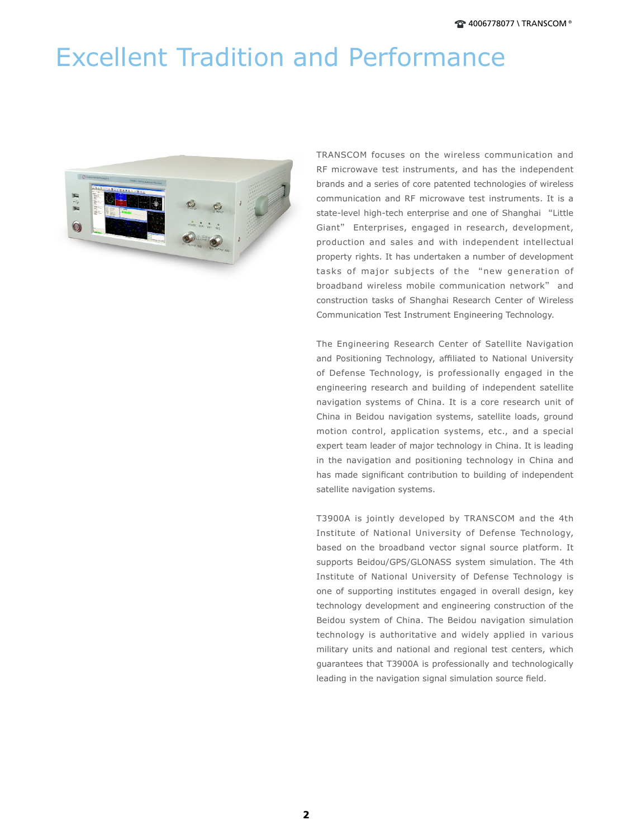## Excellent Tradition and Performance



TRANSCOM focuses on the wireless communication and RF microwave test instruments, and has the independent brands and a series of core patented technologies of wireless communication and RF microwave test instruments. It is a state-level high-tech enterprise and one of Shanghai "Little Giant" Enterprises, engaged in research, development, production and sales and with independent intellectual property rights. It has undertaken a number of development tasks of major subjects of the "new generation of broadband wireless mobile communication network" and construction tasks of Shanghai Research Center of Wireless Communication Test Instrument Engineering Technology.

The Engineering Research Center of Satellite Navigation and Positioning Technology, affiliated to National University of Defense Technology, is professionally engaged in the engineering research and building of independent satellite navigation systems of China. It is a core research unit of China in Beidou navigation systems, satellite loads, ground motion control, application systems, etc., and a special expert team leader of major technology in China. It is leading in the navigation and positioning technology in China and has made significant contribution to building of independent satellite navigation systems.

T3900A is jointly developed by TRANSCOM and the 4th Institute of National University of Defense Technology, based on the broadband vector signal source platform. It supports Beidou/GPS/GLONASS system simulation. The 4th Institute of National University of Defense Technology is one of supporting institutes engaged in overall design, key technology development and engineering construction of the Beidou system of China. The Beidou navigation simulation technology is authoritative and widely applied in various military units and national and regional test centers, which guarantees that T3900A is professionally and technologically leading in the navigation signal simulation source field.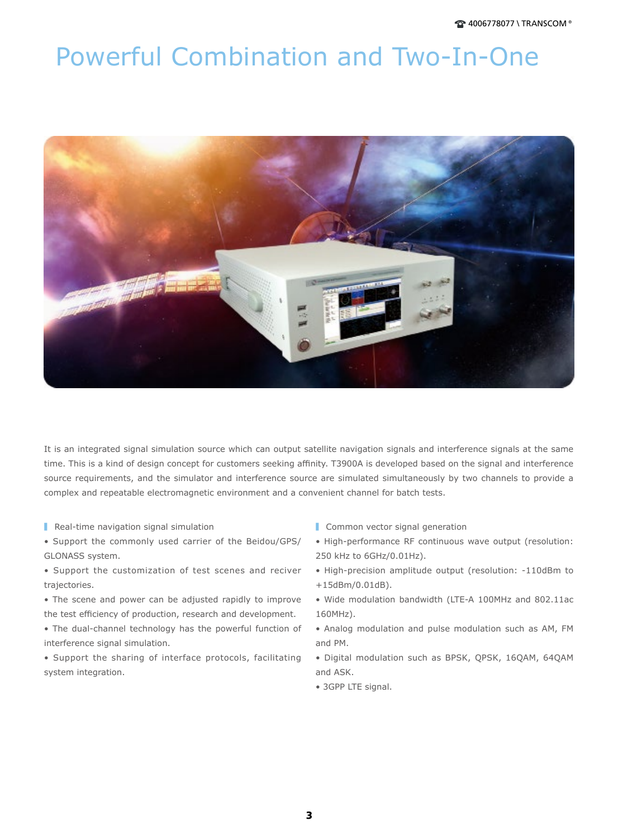### Powerful Combination and Two-In-One



It is an integrated signal simulation source which can output satellite navigation signals and interference signals at the same time. This is a kind of design concept for customers seeking affinity. T3900A is developed based on the signal and interference source requirements, and the simulator and interference source are simulated simultaneously by two channels to provide a complex and repeatable electromagnetic environment and a convenient channel for batch tests.

- Real-time navigation signal simulation
- Support the commonly used carrier of the Beidou/GPS/ GLONASS system.
- Support the customization of test scenes and reciver trajectories.
- The scene and power can be adjusted rapidly to improve the test efficiency of production, research and development.
- The dual-channel technology has the powerful function of interference signal simulation.
- Support the sharing of interface protocols, facilitating system integration.
- Common vector signal generation
- High-performance RF continuous wave output (resolution: 250 kHz to 6GHz/0.01Hz).
- High-precision amplitude output (resolution: -110dBm to +15dBm/0.01dB).
- Wide modulation bandwidth (LTE-A 100MHz and 802.11ac 160MHz).
- Analog modulation and pulse modulation such as AM, FM and PM.
- Digital modulation such as BPSK, QPSK, 16QAM, 64QAM and ASK.
- 3GPP LTE signal.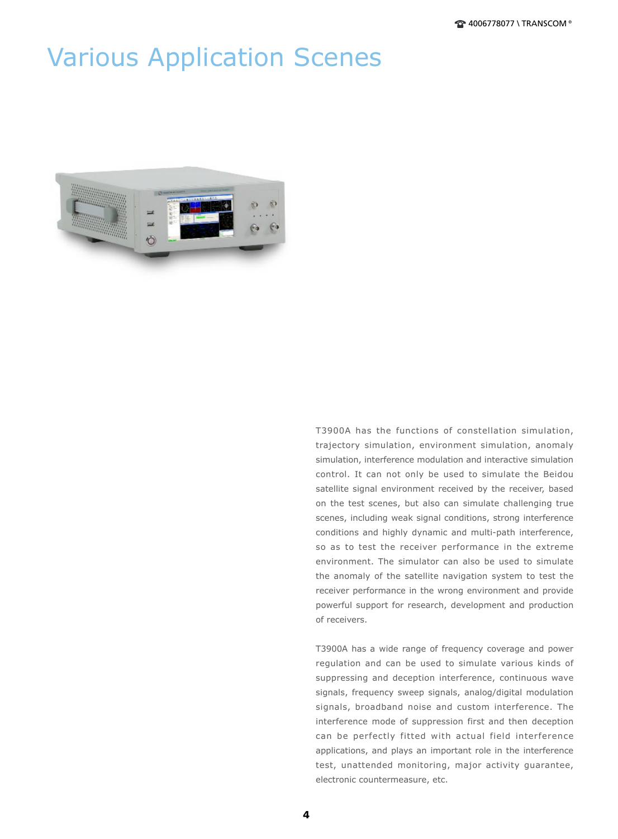### Various Application Scenes



T3900A has the functions of constellation simulation, trajectory simulation, environment simulation, anomaly simulation, interference modulation and interactive simulation control. It can not only be used to simulate the Beidou satellite signal environment received by the receiver, based on the test scenes, but also can simulate challenging true scenes, including weak signal conditions, strong interference conditions and highly dynamic and multi-path interference, so as to test the receiver performance in the extreme environment. The simulator can also be used to simulate the anomaly of the satellite navigation system to test the receiver performance in the wrong environment and provide powerful support for research, development and production of receivers.

T3900A has a wide range of frequency coverage and power regulation and can be used to simulate various kinds of suppressing and deception interference, continuous wave signals, frequency sweep signals, analog/digital modulation signals, broadband noise and custom interference. The interference mode of suppression first and then deception can be perfectly fitted with actual field interference applications, and plays an important role in the interference test, unattended monitoring, major activity guarantee, electronic countermeasure, etc.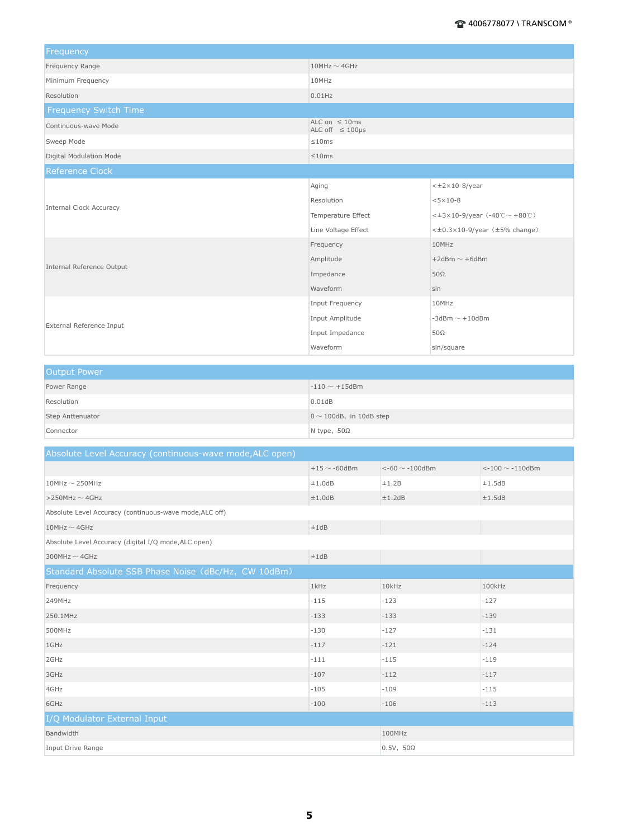| Frequency                      |                                                |                                                  |  |
|--------------------------------|------------------------------------------------|--------------------------------------------------|--|
| Frequency Range                | $10$ MHz $\sim$ 4GHz                           |                                                  |  |
| Minimum Frequency              | 10MHz                                          |                                                  |  |
| Resolution                     | $0.01$ Hz                                      |                                                  |  |
| <b>Frequency Switch Time</b>   |                                                |                                                  |  |
| Continuous-wave Mode           | ALC on $\leq$ 10ms<br>ALC off $\leq 100 \mu s$ |                                                  |  |
| Sweep Mode                     | ≤10ms                                          |                                                  |  |
| Digital Modulation Mode        | ≤10ms                                          |                                                  |  |
| <b>Reference Clock</b>         |                                                |                                                  |  |
|                                | Aging                                          | $<\pm 2\times 10-8$ /year                        |  |
|                                | Resolution                                     | $<5\times10-8$                                   |  |
| <b>Internal Clock Accuracy</b> | Temperature Effect                             | < $\pm 3 \times 10 - 9$ /year (-40℃ $\sim$ +80℃) |  |
|                                | Line Voltage Effect                            | $\lt\pm0.3\times10-9$ /year ( $\pm5\%$ change)   |  |
| Internal Reference Output      | Frequency                                      | 10MHz                                            |  |
|                                | Amplitude                                      | $+2$ dBm $\sim$ +6dBm                            |  |
|                                | Impedance                                      | $50\Omega$                                       |  |
|                                | Waveform                                       | sin                                              |  |
| External Reference Input       | Input Frequency                                | 10MHz                                            |  |
|                                | Input Amplitude                                | $-3$ dBm $\sim$ $+10$ dBm                        |  |
|                                | Input Impedance                                | $50\Omega$                                       |  |
|                                | Waveform                                       | sin/square                                       |  |

| Output Power     |                               |
|------------------|-------------------------------|
| Power Range      | $-110 \sim +15$ dBm           |
| Resolution       | 0.01dB                        |
| Step Anttenuator | $0 \sim 100$ dB, in 10dB step |
| Connector        | N type, $50\Omega$            |

| Absolute Level Accuracy (continuous-wave mode, ALC open) |                    |                                |                         |
|----------------------------------------------------------|--------------------|--------------------------------|-------------------------|
|                                                          | $+15 \sim -60$ dBm | $\leftarrow$ 60 $\sim$ -100dBm | $<$ -100 $\sim$ -110dBm |
| $10$ MHz $\sim$ 250MHz                                   | ±1.0dB             | ±1.2B                          | ±1.5dB                  |
| $>$ 250MHz $\sim$ 4GHz                                   | ±1.0dB             | ±1.2dB                         | ±1.5dB                  |
| Absolute Level Accuracy (continuous-wave mode, ALC off)  |                    |                                |                         |
| $10$ MHz $\sim$ 4GHz                                     | ±1dB               |                                |                         |
| Absolute Level Accuracy (digital I/Q mode, ALC open)     |                    |                                |                         |
| 300MHz $\sim$ 4GHz                                       | ±1dB               |                                |                         |
| Standard Absolute SSB Phase Noise (dBc/Hz, CW 10dBm)     |                    |                                |                         |
| Frequency                                                | $1$ kHz            | 10kHz                          | 100kHz                  |
| 249MHz                                                   | $-115$             | $-123$                         | $-127$                  |
| 250.1MHz                                                 | $-133$             | $-133$                         | $-139$                  |
| 500MHz                                                   | $-130$             | $-127$                         | $-131$                  |
| 1GHz                                                     | $-117$             | $-121$                         | $-124$                  |
| 2GHz                                                     | $-111$             | $-115$                         | $-119$                  |
| 3GHz                                                     | $-107$             | $-112$                         | $-117$                  |
| 4GHz                                                     | $-105$             | $-109$                         | $-115$                  |
| 6GHz                                                     | $-100$             | $-106$                         | $-113$                  |
| I/Q Modulator External Input                             |                    |                                |                         |
| Bandwidth                                                |                    | 100MHz                         |                         |
| <b>Input Drive Range</b>                                 |                    | $0.5V$ , $50\Omega$            |                         |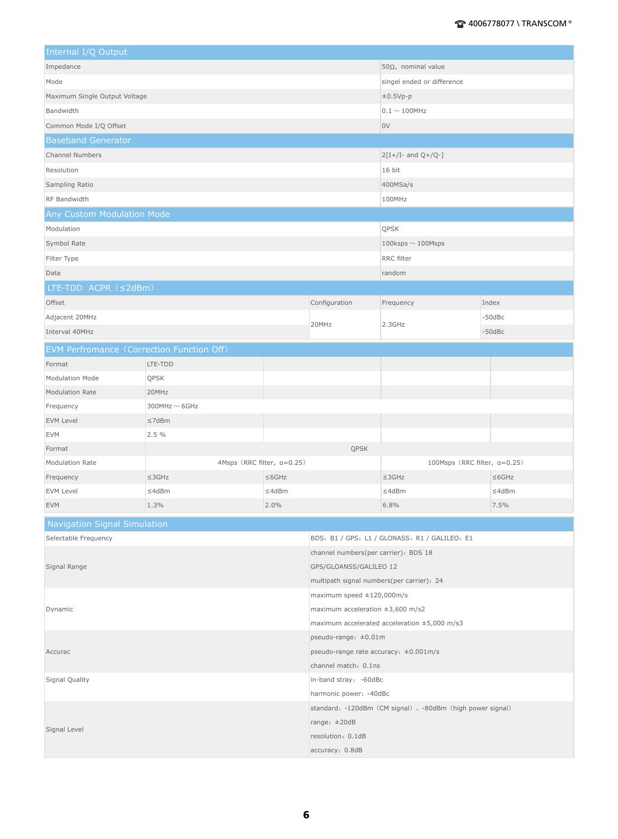| Internal I/Q Output                       |                            |                                                   |                                                           |                                               |              |  |
|-------------------------------------------|----------------------------|---------------------------------------------------|-----------------------------------------------------------|-----------------------------------------------|--------------|--|
| Impedance                                 |                            | $50\Omega$ , nominal value                        |                                                           |                                               |              |  |
| Mode                                      |                            | singel ended or difference                        |                                                           |                                               |              |  |
| Maximum Single Output Voltage             |                            | $\pm 0.5Vp-p$                                     |                                                           |                                               |              |  |
| Bandwidth                                 |                            |                                                   |                                                           | $0.1 \sim 100$ MHz                            |              |  |
| Common Mode I/Q Offset                    |                            |                                                   |                                                           | 0V                                            |              |  |
| <b>Baseband Generator</b>                 |                            |                                                   |                                                           |                                               |              |  |
| <b>Channel Numbers</b>                    |                            |                                                   |                                                           | $2[I+/I-$ and $Q+/Q-]$                        |              |  |
| Resolution                                |                            |                                                   |                                                           | 16 bit                                        |              |  |
| Sampling Ratio                            |                            |                                                   |                                                           |                                               |              |  |
| RF Bandwidth                              |                            |                                                   |                                                           | 400MSa/s                                      |              |  |
|                                           |                            |                                                   |                                                           | 100MHz                                        |              |  |
| Any Custom Modulation Mode                |                            |                                                   |                                                           |                                               |              |  |
| Modulation                                |                            |                                                   |                                                           | QPSK                                          |              |  |
| Symbol Rate                               |                            |                                                   |                                                           | $100$ ksps $\sim$ 100Msps                     |              |  |
| Filter Type                               |                            |                                                   |                                                           | RRC filter                                    |              |  |
| Data                                      |                            |                                                   |                                                           | random                                        |              |  |
| LTE-TDD ACPR (≤2dBm)                      |                            |                                                   |                                                           |                                               |              |  |
| Offset                                    |                            |                                                   | Configuration                                             | Frequency                                     | Index        |  |
| Adjacent 20MHz                            |                            |                                                   | 20MHz                                                     | 2.3GHz                                        | $-50$ d $Bc$ |  |
| Interval 40MHz                            |                            |                                                   |                                                           |                                               | $-50$ d $Bc$ |  |
| EVM Perfromance (Correction Function Off) |                            |                                                   |                                                           |                                               |              |  |
| Format                                    | LTE-TDD                    |                                                   |                                                           |                                               |              |  |
| Modulation Mode                           | QPSK                       |                                                   |                                                           |                                               |              |  |
| <b>Modulation Rate</b>                    | 20MHz                      |                                                   |                                                           |                                               |              |  |
| Frequency                                 | $300$ MHz $\sim$ 6GHz      |                                                   |                                                           |                                               |              |  |
| <b>EVM Level</b>                          | $\leq$ 7dBm                |                                                   |                                                           |                                               |              |  |
| <b>EVM</b>                                | 2.5%                       |                                                   |                                                           |                                               |              |  |
| Format                                    |                            |                                                   | QPSK                                                      |                                               |              |  |
| Modulation Rate                           | 4Msps (RRC filter, a=0.25) |                                                   |                                                           | 100Msps (RRC filter, a=0.25)                  |              |  |
| Frequency                                 | $\leq$ 3GHz                | $\leq$ 6GHz                                       |                                                           | $\leq$ 3GHz                                   | $\leq$ 6GHz  |  |
| <b>EVM Level</b>                          | ≤4dBm                      | ≤4dBm                                             |                                                           | ≤4dBm                                         | ≤4dBm        |  |
| <b>EVM</b>                                | 1.3%                       | 2.0%                                              |                                                           | 6.8%                                          | 7.5%         |  |
|                                           |                            |                                                   |                                                           |                                               |              |  |
| Navigation Signal Simulation              |                            |                                                   |                                                           |                                               |              |  |
| Selectable Frequency                      |                            |                                                   |                                                           | BDS: B1 / GPS: L1 / GLONASS: R1 / GALILEO: E1 |              |  |
| Signal Range                              |                            | channel numbers(per carrier): BDS 18              |                                                           |                                               |              |  |
|                                           |                            | GPS/GLOANSS/GALILEO 12                            |                                                           |                                               |              |  |
|                                           |                            | multipath signal numbers(per carrier): 24         |                                                           |                                               |              |  |
| Dynamic                                   |                            | maximum speed $\pm$ 120,000m/s                    |                                                           |                                               |              |  |
|                                           |                            | maximum acceleration $\pm 3,600$ m/s2             |                                                           |                                               |              |  |
|                                           |                            | maximum accelerated acceleration $\pm 5,000$ m/s3 |                                                           |                                               |              |  |
| Accurac                                   |                            | pseudo-range: $\pm 0.01$ m                        |                                                           |                                               |              |  |
|                                           |                            | pseudo-range rate accuracy: $\pm 0.001$ m/s       |                                                           |                                               |              |  |
|                                           |                            |                                                   | channel match: 0.1ns                                      |                                               |              |  |
| Signal Quality                            |                            |                                                   | in-band stray: -60dBc                                     |                                               |              |  |
|                                           |                            |                                                   | harmonic power: -40dBc                                    |                                               |              |  |
| Signal Level                              |                            |                                                   | standard: -120dBm (CM signal), -80dBm (high power signal) |                                               |              |  |
|                                           |                            | range: $\pm 20dB$                                 |                                                           |                                               |              |  |
|                                           |                            | resolution: 0.1dB                                 |                                                           |                                               |              |  |
|                                           |                            | accuracy: 0.8dB                                   |                                                           |                                               |              |  |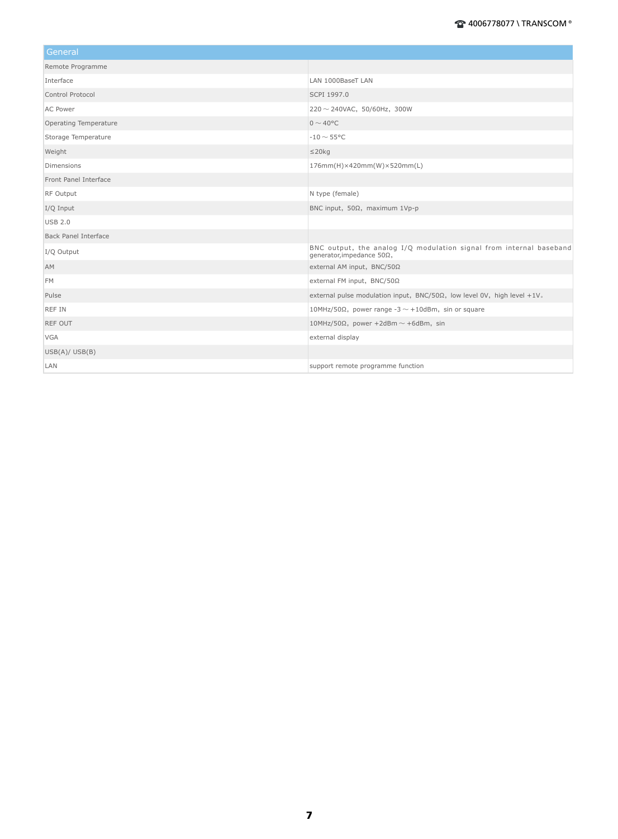| General                     |                                                                                                  |
|-----------------------------|--------------------------------------------------------------------------------------------------|
| Remote Programme            |                                                                                                  |
| Interface                   | LAN 1000BaseT LAN                                                                                |
| Control Protocol            | SCPI 1997.0                                                                                      |
| <b>AC Power</b>             | $220 \sim 240$ VAC, 50/60Hz, 300W                                                                |
| Operating Temperature       | $0 \sim 40^{\circ}$ C                                                                            |
| Storage Temperature         | $-10 \sim 55^{\circ}$ C                                                                          |
| Weight                      | $\leq$ 20 $kg$                                                                                   |
| <b>Dimensions</b>           | 176mm(H)×420mm(W)×520mm(L)                                                                       |
| Front Panel Interface       |                                                                                                  |
| <b>RF Output</b>            | N type (female)                                                                                  |
| I/Q Input                   | BNC input, 50Ω, maximum 1Vp-p                                                                    |
| <b>USB 2.0</b>              |                                                                                                  |
| <b>Back Panel Interface</b> |                                                                                                  |
| I/Q Output                  | BNC output, the analog I/Q modulation signal from internal baseband<br>qenerator, impedance 50Ω, |
| <b>AM</b>                   | external AM input, BNC/50Ω                                                                       |
| <b>FM</b>                   | external FM input, BNC/50Ω                                                                       |
| Pulse                       | external pulse modulation input, $BNC/50\Omega$ , low level 0V, high level +1V.                  |
| <b>REF IN</b>               | 10MHz/50Ω, power range -3 $\sim$ +10dBm, sin or square                                           |
| <b>REF OUT</b>              | 10MHz/50 $\Omega$ , power +2dBm ~ +6dBm, sin                                                     |
| <b>VGA</b>                  | external display                                                                                 |
| USB(A)/USB(B)               |                                                                                                  |
| LAN                         | support remote programme function                                                                |